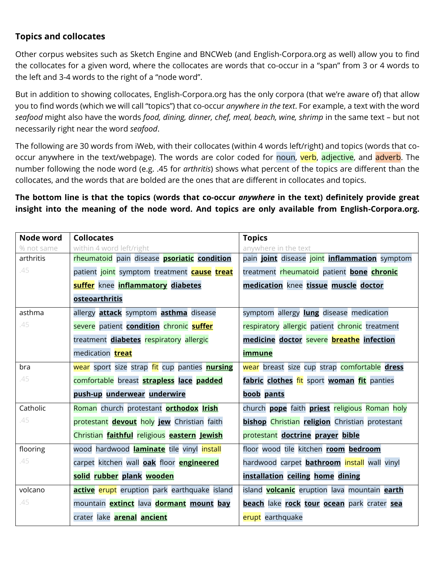## **Topics and collocates**

Other corpus websites such as Sketch Engine and BNCWeb (and English-Corpora.org as well) allow you to find the collocates for a given word, where the collocates are words that co-occur in a "span" from 3 or 4 words to the left and 3-4 words to the right of a "node word".

But in addition to showing collocates, English-Corpora.org has the only corpora (that we're aware of) that allow you to find words (which we will call "topics") that co-occur *anywhere in the text*. For example, a text with the word *seafood* might also have the words *food, dining, dinner, chef, meal, beach, wine, shrimp* in the same text – but not necessarily right near the word *seafood*.

The following are 30 words from iWeb, with their collocates (within 4 words left/right) and topics (words that cooccur anywhere in the text/webpage). The words are color coded for noun, verb, adjective, and adverb. The number following the node word (e.g. .45 for *arthritis*) shows what percent of the topics are different than the collocates, and the words that are bolded are the ones that are different in collocates and topics.

## **The bottom line is that the topics (words that co-occur** *anywhere* **in the text) definitely provide great insight into the meaning of the node word. And topics are only available from English-Corpora.org.**

| Node word  | <b>Collocates</b>                                      | <b>Topics</b>                                               |
|------------|--------------------------------------------------------|-------------------------------------------------------------|
| % not same | within 4 word left/right                               | anywhere in the text                                        |
| arthritis  | rheumatoid pain disease <b>psoriatic</b> condition     | pain joint disease joint inflammation symptom               |
| .45        | patient joint symptom treatment <b>cause treat</b>     | treatment rheumatoid patient bone chronic                   |
|            | <b>suffer</b> knee <i>inflammatory</i> diabetes        | medication knee tissue muscle doctor                        |
|            | <b>osteoarthritis</b>                                  |                                                             |
| asthma     | allergy <b>attack</b> symptom <b>asthma</b> disease    | symptom allergy <b>lung</b> disease medication              |
| .45        | severe patient condition chronic suffer                | respiratory allergic patient chronic treatment              |
|            | treatment diabetes respiratory allergic                | medicine doctor severe <b>breathe</b> infection             |
|            | medication <b>treat</b>                                | <u>immune</u>                                               |
| bra        | wear sport size strap fit cup panties nursing          | wear breast size cup strap comfortable dress                |
| .45        | comfortable breast strapless lace padded               | fabric clothes fit sport woman fit panties                  |
|            | push-up underwear underwire                            | boob pants                                                  |
| Catholic   | Roman church protestant <b>orthodox Irish</b>          | church <b>pope</b> faith <b>priest</b> religious Roman holy |
| .45        | protestant devout holy jew Christian faith             | <b>bishop</b> Christian religion Christian protestant       |
|            | Christian faithful religious eastern Jewish            | protestant doctrine prayer bible                            |
| flooring   | wood hardwood laminate tile vinyl install              | floor wood tile kitchen room bedroom                        |
| .45        | carpet kitchen wall <b>oak</b> floor <b>engineered</b> | hardwood carpet <b>bathroom</b> install wall vinyl          |
|            | solid rubber plank wooden                              | installation ceiling home dining                            |
| volcano    | active erupt eruption park earthquake island           | island <b>volcanic</b> eruption lava mountain earth         |
| .45        | mountain <b>extinct</b> lava <b>dormant</b> mount bay  | beach lake rock tour ocean park crater sea                  |
|            | crater lake <b>arenal ancient</b>                      | erupt earthquake                                            |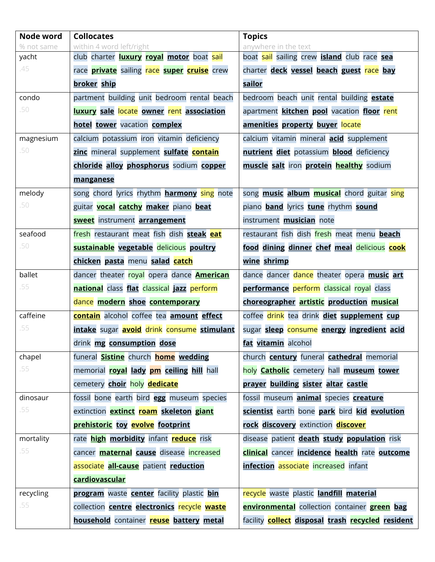| Node word  | <b>Collocates</b>                                              | <b>Topics</b>                                               |
|------------|----------------------------------------------------------------|-------------------------------------------------------------|
| % not same | within 4 word left/right                                       | anywhere in the text                                        |
| yacht      | club charter <b>luxury royal motor</b> boat sail               | boat sail sailing crew <b>island</b> club race sea          |
| .45        | race <b>private</b> sailing race <b>super cruise</b> crew      | charter deck vessel beach guest race bay                    |
|            | broker ship                                                    | sailor                                                      |
| condo      | partment building unit bedroom rental beach                    | bedroom beach unit rental building <b>estate</b>            |
| .50        | luxury sale locate owner rent association                      | apartment <b>kitchen pool</b> vacation floor rent           |
|            | hotel tower vacation complex                                   | amenities property buyer locate                             |
| magnesium  | calcium potassium iron vitamin deficiency                      | calcium vitamin mineral <b>acid</b> supplement              |
| .50        | zinc mineral supplement sulfate contain                        | nutrient diet potassium blood deficiency                    |
|            | chloride alloy phosphorus sodium copper                        | muscle salt iron protein healthy sodium                     |
|            | manganese                                                      |                                                             |
| melody     | song chord lyrics rhythm <b>harmony</b> sing note              | song <b>music album musical</b> chord guitar sing           |
| .50        | guitar <b>vocal catchy maker</b> piano beat                    | piano <b>band</b> lyrics tune rhythm sound                  |
|            | <b>sweet</b> instrument <b>arrangement</b>                     | instrument <b>musician</b> note                             |
| seafood    | fresh restaurant meat fish dish steak eat                      | restaurant fish dish fresh meat menu beach                  |
| .50        | sustainable vegetable delicious poultry                        | food dining dinner chef meal delicious cook                 |
|            | chicken pasta menu salad catch                                 | wine shrimp                                                 |
| ballet     | dancer theater royal opera dance <b>American</b>               | dance dancer dance theater opera music art                  |
| .55        | national class flat classical jazz perform                     | performance perform classical royal class                   |
|            | dance modern shoe contemporary                                 | choreographer artistic production musical                   |
| caffeine   | <b>contain</b> alcohol coffee tea <b>amount effect</b>         | coffee drink tea drink diet supplement cup                  |
| .55        | intake sugar <b>avoid</b> drink consume stimulant              | sugar sleep consume energy ingredient acid                  |
|            | drink mg consumption dose                                      | fat vitamin alcohol                                         |
| chapel     | funeral <b>Sistine</b> church <b>home</b> wedding              | church <b>century</b> funeral <b>cathedral</b> memorial     |
| .55        | memorial <b>royal lady pm ceiling hill</b> hall                | holy <b>Catholic</b> cemetery hall <b>museum</b> tower      |
|            | cemetery choir holy dedicate                                   | prayer building sister altar castle                         |
| dinosaur   | fossil bone earth bird egg museum species                      | fossil museum <b>animal</b> species <b>creature</b>         |
| .55        | extinction <b>extinct roam skeleton giant</b>                  | scientist earth bone park bird kid evolution                |
|            | prehistoric toy evolve footprint                               | rock discovery extinction discover                          |
| mortality  | rate <i>high morbidity</i> infant <b>reduce</b> risk           | disease patient <b>death study population</b> risk          |
| .55        | cancer <b>maternal cause</b> disease increased                 | <b>clinical</b> cancer <i>incidence</i> health rate outcome |
|            | associate all-cause patient reduction                          | <b>infection</b> associate increased infant                 |
|            | cardiovascular                                                 |                                                             |
| recycling  | <b>program</b> waste <b>center</b> facility plastic <b>bin</b> | recycle waste plastic landfill material                     |
| .55        | collection <b>centre electronics</b> recycle waste             | <b>environmental</b> collection container <b>green bag</b>  |
|            | household container reuse battery metal                        | facility <b>collect disposal trash recycled resident</b>    |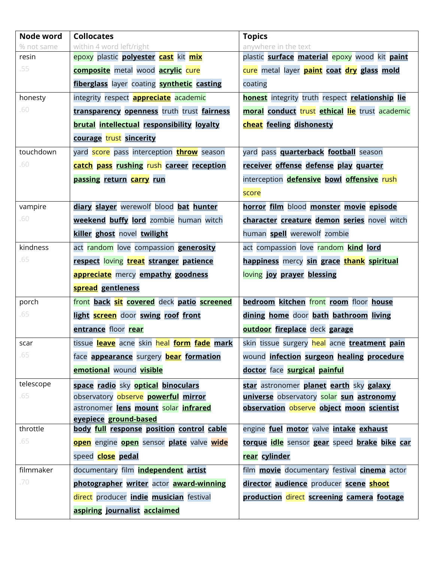| Node word  | <b>Collocates</b>                                    | <b>Topics</b>                                                 |
|------------|------------------------------------------------------|---------------------------------------------------------------|
| % not same | within 4 word left/right                             | anywhere in the text                                          |
| resin      | epoxy plastic <b>polyester cast</b> kit <i>mix</i>   | plastic <b>surface material epoxy</b> wood kit <b>paint</b>   |
| .55        | <b>composite</b> metal wood <b>acrylic</b> cure      | cure metal layer <b>paint coat dry glass mold</b>             |
|            | fiberglass layer coating <b>synthetic</b> casting    | coating                                                       |
| honesty    | integrity respect <b>appreciate</b> academic         | <b>honest</b> integrity truth respect <b>relationship</b> lie |
| .60        | transparency openness truth trust fairness           | moral conduct trust ethical lie trust academic                |
|            | <b>brutal intellectual responsibility loyalty</b>    | cheat feeling dishonesty                                      |
|            | courage trust sincerity                              |                                                               |
| touchdown  | yard score pass interception <b>throw</b> season     | yard pass <b>quarterback football</b> season                  |
| .60        | catch pass rushing rush career reception             | receiver offense defense play quarter                         |
|            | passing return carry run                             | interception <b>defensive</b> bowl <b>offensive</b> rush      |
|            |                                                      | score                                                         |
| vampire    | diary slayer werewolf blood bat hunter               | horror film blood monster movie episode                       |
| .60        | weekend buffy lord zombie human witch                | character creature demon series novel witch                   |
|            | killer ghost novel twilight                          | human spell werewolf zombie                                   |
| kindness   | act random love compassion <b>generosity</b>         | act compassion love random kind lord                          |
| .65        | respect loving treat stranger patience               | happiness mercy sin grace thank spiritual                     |
|            | <b>appreciate</b> mercy <b>empathy goodness</b>      | loving joy prayer blessing                                    |
|            | spread gentleness                                    |                                                               |
| porch      | front back sit covered deck patio screened           | bedroom kitchen front room floor house                        |
| .65        | light <b>screen</b> door swing roof front            | dining home door bath bathroom living                         |
|            | entrance floor rear                                  | outdoor fireplace deck garage                                 |
| scar       | tissue leave acne skin heal form fade mark           | skin tissue surgery heal acne treatment pain                  |
| .65        | face <b>appearance</b> surgery <b>bear formation</b> | wound infection surgeon healing procedure                     |
|            | emotional wound visible                              | doctor face surgical painful                                  |
| telescope  | space radio sky optical binoculars                   | star astronomer planet earth sky galaxy                       |
| .65        | observatory observe powerful mirror                  | universe observatory solar sun astronomy                      |
|            | astronomer lens mount solar infrared                 | observation observe object moon scientist                     |
|            | eyepiece ground-based                                |                                                               |
| throttle   | body full response position control cable            | engine fuel motor valve intake exhaust                        |
| .65        | open engine open sensor plate valve wide             | torque idle sensor gear speed brake bike car                  |
|            | speed <b>close pedal</b>                             | rear cylinder                                                 |
| filmmaker  | documentary film <b>independent</b> artist           | film <b>movie</b> documentary festival <b>cinema</b> actor    |
| .70        | photographer writer actor award-winning              | director audience producer scene shoot                        |
|            | direct producer <i>indie</i> musician festival       | production direct screening camera footage                    |
|            | aspiring journalist acclaimed                        |                                                               |